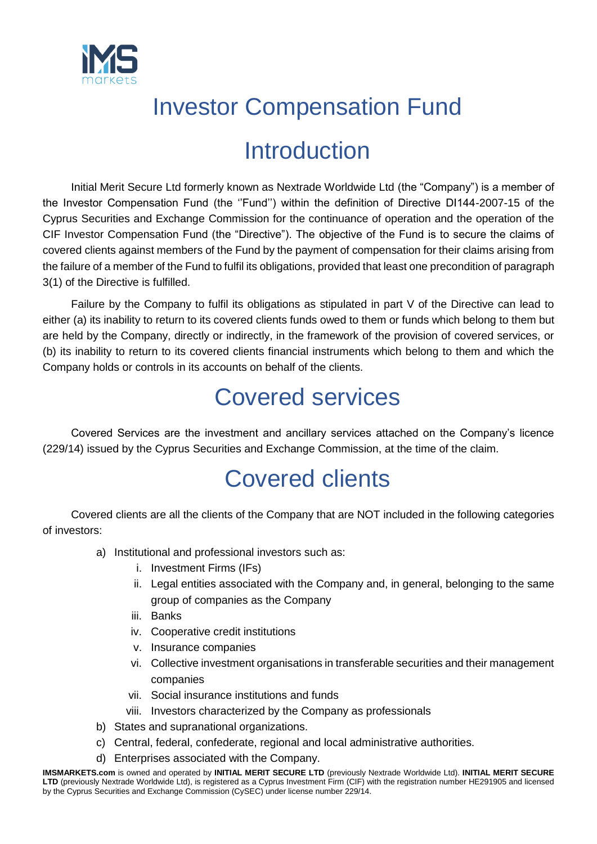

## Investor Compensation Fund

#### Introduction

Initial Merit Secure Ltd formerly known as Nextrade Worldwide Ltd (the "Company") is a member of the Investor Compensation Fund (the ''Fund'') within the definition of Directive DI144-2007-15 of the Cyprus Securities and Exchange Commission for the continuance of operation and the operation of the CIF Investor Compensation Fund (the "Directive"). The objective of the Fund is to secure the claims of covered clients against members of the Fund by the payment of compensation for their claims arising from the failure of a member of the Fund to fulfil its obligations, provided that least one precondition of paragraph 3(1) of the Directive is fulfilled.

Failure by the Company to fulfil its obligations as stipulated in part V of the Directive can lead to either (a) its inability to return to its covered clients funds owed to them or funds which belong to them but are held by the Company, directly or indirectly, in the framework of the provision of covered services, or (b) its inability to return to its covered clients financial instruments which belong to them and which the Company holds or controls in its accounts on behalf of the clients.

#### Covered services

Covered Services are the investment and ancillary services attached on the Company's licence (229/14) issued by the Cyprus Securities and Exchange Commission, at the time of the claim.

### Covered clients

Covered clients are all the clients of the Company that are NOT included in the following categories of investors:

- a) Institutional and professional investors such as:
	- i. Investment Firms (IFs)
	- ii. Legal entities associated with the Company and, in general, belonging to the same group of companies as the Company
	- iii. Banks
	- iv. Cooperative credit institutions
	- v. Insurance companies
	- vi. Collective investment organisations in transferable securities and their management companies
	- vii. Social insurance institutions and funds
	- viii. Investors characterized by the Company as professionals
- b) States and supranational organizations.
- c) Central, federal, confederate, regional and local administrative authorities.
- d) Enterprises associated with the Company.

**IMSMARKETS.com** is owned and operated by **INITIAL MERIT SECURE LTD** (previously Nextrade Worldwide Ltd). **INITIAL MERIT SECURE LTD** (previously Nextrade Worldwide Ltd), is registered as a Cyprus Investment Firm (CIF) with the registration number HE291905 and licensed by the Cyprus Securities and Exchange Commission (CySEC) under license number 229/14.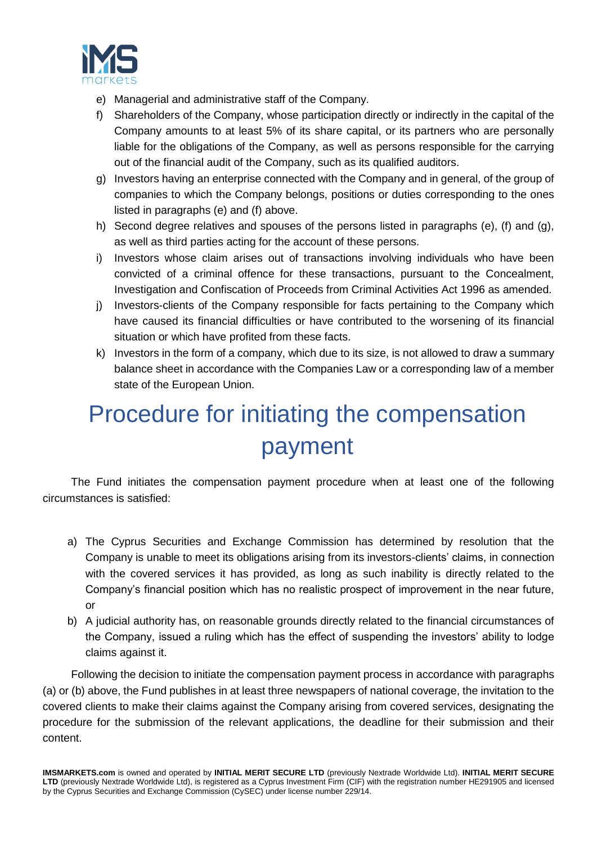

- e) Managerial and administrative staff of the Company.
- f) Shareholders of the Company, whose participation directly or indirectly in the capital of the Company amounts to at least 5% of its share capital, or its partners who are personally liable for the obligations of the Company, as well as persons responsible for the carrying out of the financial audit of the Company, such as its qualified auditors.
- g) Investors having an enterprise connected with the Company and in general, of the group of companies to which the Company belongs, positions or duties corresponding to the ones listed in paragraphs (e) and (f) above.
- h) Second degree relatives and spouses of the persons listed in paragraphs (e), (f) and (g), as well as third parties acting for the account of these persons.
- i) Investors whose claim arises out of transactions involving individuals who have been convicted of a criminal offence for these transactions, pursuant to the Concealment, Investigation and Confiscation of Proceeds from Criminal Activities Act 1996 as amended.
- j) Investors-clients of the Company responsible for facts pertaining to the Company which have caused its financial difficulties or have contributed to the worsening of its financial situation or which have profited from these facts.
- k) Investors in the form of a company, which due to its size, is not allowed to draw a summary balance sheet in accordance with the Companies Law or a corresponding law of a member state of the European Union.

# Procedure for initiating the compensation payment

The Fund initiates the compensation payment procedure when at least one of the following circumstances is satisfied:

- a) The Cyprus Securities and Exchange Commission has determined by resolution that the Company is unable to meet its obligations arising from its investors-clients' claims, in connection with the covered services it has provided, as long as such inability is directly related to the Company's financial position which has no realistic prospect of improvement in the near future, or
- b) A judicial authority has, on reasonable grounds directly related to the financial circumstances of the Company, issued a ruling which has the effect of suspending the investors' ability to lodge claims against it.

Following the decision to initiate the compensation payment process in accordance with paragraphs (a) or (b) above, the Fund publishes in at least three newspapers of national coverage, the invitation to the covered clients to make their claims against the Company arising from covered services, designating the procedure for the submission of the relevant applications, the deadline for their submission and their content.